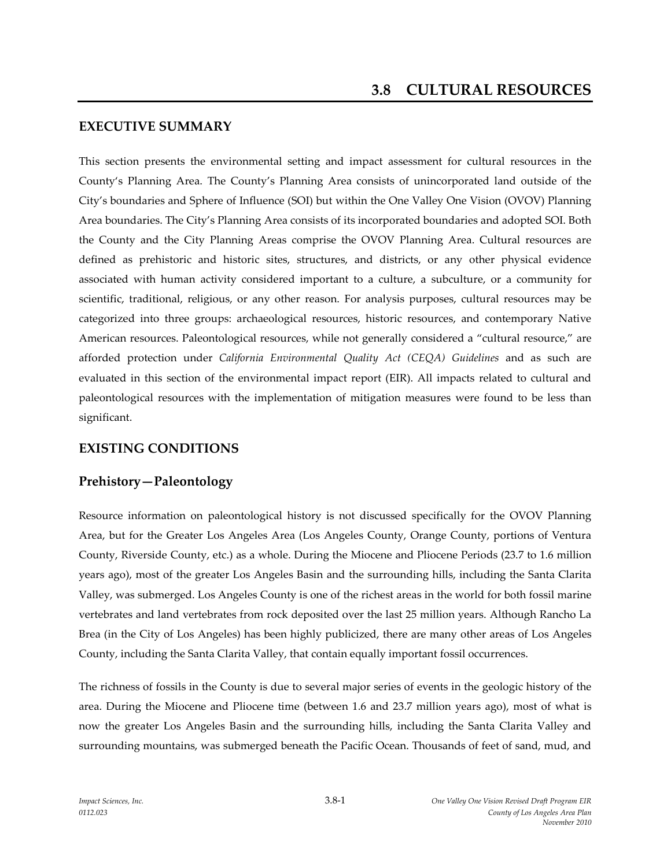### **EXECUTIVE SUMMARY**

This section presents the environmental setting and impact assessment for cultural resources in the County's Planning Area. The County's Planning Area consists of unincorporated land outside of the City's boundaries and Sphere of Influence (SOI) but within the One Valley One Vision (OVOV) Planning Area boundaries. The City's Planning Area consists of its incorporated boundaries and adopted SOI. Both the County and the City Planning Areas comprise the OVOV Planning Area. Cultural resources are defined as prehistoric and historic sites, structures, and districts, or any other physical evidence associated with human activity considered important to a culture, a subculture, or a community for scientific, traditional, religious, or any other reason. For analysis purposes, cultural resources may be categorized into three groups: archaeological resources, historic resources, and contemporary Native American resources. Paleontological resources, while not generally considered a "cultural resource," are afforded protection under *California Environmental Quality Act (CEQA) Guidelines* and as such are evaluated in this section of the environmental impact report (EIR). All impacts related to cultural and paleontological resources with the implementation of mitigation measures were found to be less than significant.

# **EXISTING CONDITIONS**

# **Prehistory—Paleontology**

Resource information on paleontological history is not discussed specifically for the OVOV Planning Area, but for the Greater Los Angeles Area (Los Angeles County, Orange County, portions of Ventura County, Riverside County, etc.) as a whole. During the Miocene and Pliocene Periods (23.7 to 1.6 million years ago), most of the greater Los Angeles Basin and the surrounding hills, including the Santa Clarita Valley, was submerged. Los Angeles County is one of the richest areas in the world for both fossil marine vertebrates and land vertebrates from rock deposited over the last 25 million years. Although Rancho La Brea (in the City of Los Angeles) has been highly publicized, there are many other areas of Los Angeles County, including the Santa Clarita Valley, that contain equally important fossil occurrences.

The richness of fossils in the County is due to several major series of events in the geologic history of the area. During the Miocene and Pliocene time (between 1.6 and 23.7 million years ago), most of what is now the greater Los Angeles Basin and the surrounding hills, including the Santa Clarita Valley and surrounding mountains, was submerged beneath the Pacific Ocean. Thousands of feet of sand, mud, and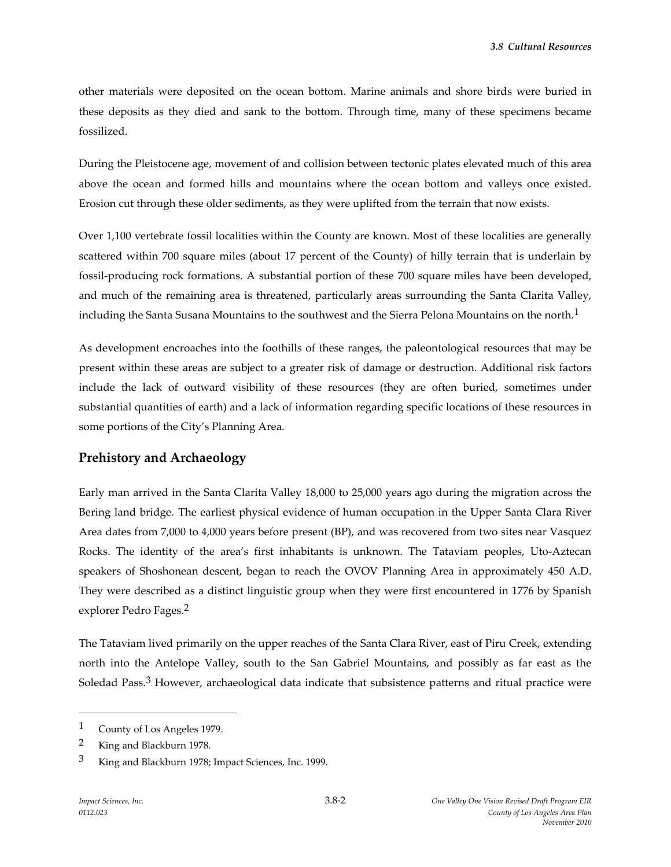other materials were deposited on the ocean bottom. Marine animals and shore birds were buried in these deposits as they died and sank to the bottom. Through time, many of these specimens became fossilized.

During the Pleistocene age, movement of and collision between tectonic plates elevated much of this area above the ocean and formed hills and mountains where the ocean bottom and valleys once existed. Erosion cut through these older sediments, as they were uplifted from the terrain that now exists.

Over 1,100 vertebrate fossil localities within the County are known. Most of these localities are generally scattered within 700 square miles (about 17 percent of the County) of hilly terrain that is underlain by fossil-producing rock formations. A substantial portion of these 700 square miles have been developed, and much of the remaining area is threatened, particularly areas surrounding the Santa Clarita Valley, including the Santa Susana Mountains to the southwest and the Sierra Pelona Mountains on the north.<sup>1</sup>

As development encroaches into the foothills of these ranges, the paleontological resources that may be present within these areas are subject to a greater risk of damage or destruction. Additional risk factors include the lack of outward visibility of these resources (they are often buried, sometimes under substantial quantities of earth) and a lack of information regarding specific locations of these resources in some portions of the City's Planning Area.

### **Prehistory and Archaeology**

Early man arrived in the Santa Clarita Valley 18,000 to 25,000 years ago during the migration across the Bering land bridge. The earliest physical evidence of human occupation in the Upper Santa Clara River Area dates from 7,000 to 4,000 years before present (BP), and was recovered from two sites near Vasquez Rocks. The identity of the area's first inhabitants is unknown. The Tataviam peoples, Uto-Aztecan speakers of Shoshonean descent, began to reach the OVOV Planning Area in approximately 450 A.D. They were described as a distinct linguistic group when they were first encountered in 1776 by Spanish explorer Pedro Fages.2

The Tataviam lived primarily on the upper reaches of the Santa Clara River, east of Piru Creek, extending north into the Antelope Valley, south to the San Gabriel Mountains, and possibly as far east as the Soledad Pass.<sup>3</sup> However, archaeological data indicate that subsistence patterns and ritual practice were

<sup>1</sup> County of Los Angeles 1979.

<sup>2</sup> King and Blackburn 1978.

<sup>3</sup> King and Blackburn 1978; Impact Sciences, Inc. 1999.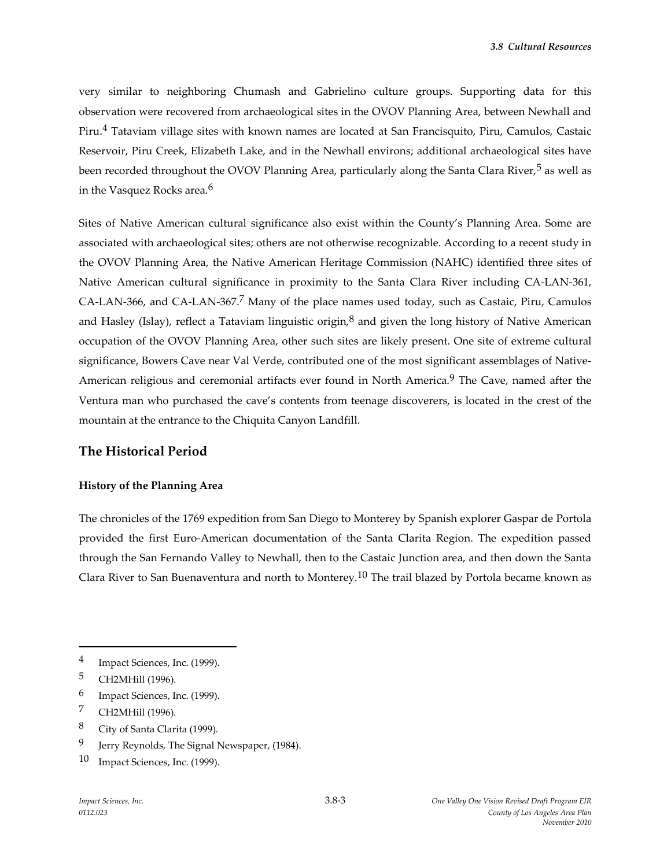very similar to neighboring Chumash and Gabrielino culture groups. Supporting data for this observation were recovered from archaeological sites in the OVOV Planning Area, between Newhall and Piru.4 Tataviam village sites with known names are located at San Francisquito, Piru, Camulos, Castaic Reservoir, Piru Creek, Elizabeth Lake, and in the Newhall environs; additional archaeological sites have been recorded throughout the OVOV Planning Area, particularly along the Santa Clara River,<sup>5</sup> as well as in the Vasquez Rocks area.<sup>6</sup>

Sites of Native American cultural significance also exist within the County's Planning Area. Some are associated with archaeological sites; others are not otherwise recognizable. According to a recent study in the OVOV Planning Area, the Native American Heritage Commission (NAHC) identified three sites of Native American cultural significance in proximity to the Santa Clara River including CA-LAN-361, CA-LAN-366, and CA-LAN-367.<sup>7</sup> Many of the place names used today, such as Castaic, Piru, Camulos and Hasley (Islay), reflect a Tataviam linguistic origin, $8$  and given the long history of Native American occupation of the OVOV Planning Area, other such sites are likely present. One site of extreme cultural significance, Bowers Cave near Val Verde, contributed one of the most significant assemblages of Native-American religious and ceremonial artifacts ever found in North America.<sup>9</sup> The Cave, named after the Ventura man who purchased the cave's contents from teenage discoverers, is located in the crest of the mountain at the entrance to the Chiquita Canyon Landfill.

#### **The Historical Period**

#### **History of the Planning Area**

The chronicles of the 1769 expedition from San Diego to Monterey by Spanish explorer Gaspar de Portola provided the first Euro-American documentation of the Santa Clarita Region. The expedition passed through the San Fernando Valley to Newhall, then to the Castaic Junction area, and then down the Santa Clara River to San Buenaventura and north to Monterey.10 The trail blazed by Portola became known as

- 8 City of Santa Clarita (1999).
- 9 Jerry Reynolds, The Signal Newspaper, (1984).

<sup>4</sup> Impact Sciences, Inc. (1999).

<sup>5</sup> CH2MHill (1996).

<sup>6</sup> Impact Sciences, Inc. (1999).

<sup>7</sup> CH2MHill (1996).

<sup>10</sup> Impact Sciences, Inc. (1999).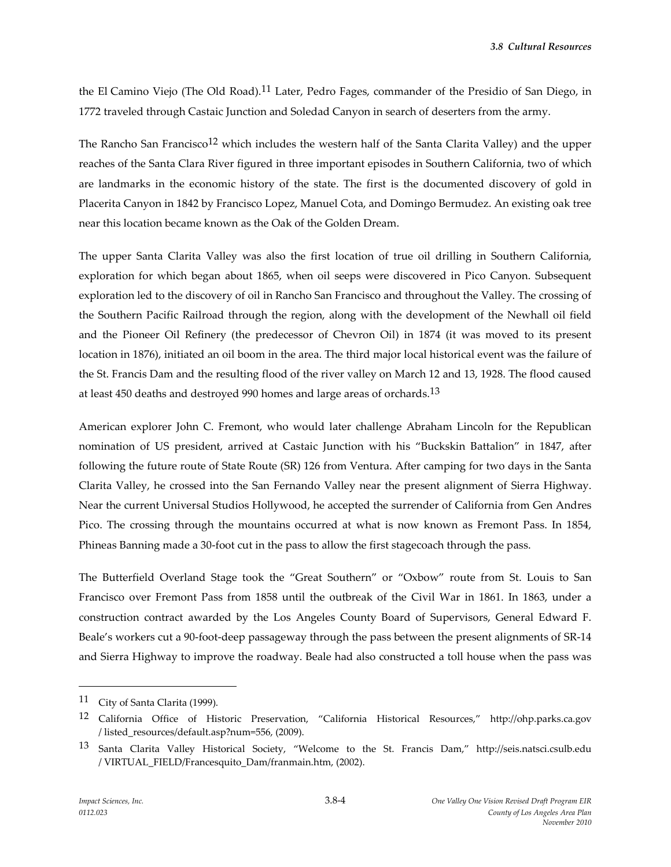the El Camino Viejo (The Old Road).<sup>11</sup> Later, Pedro Fages, commander of the Presidio of San Diego, in 1772 traveled through Castaic Junction and Soledad Canyon in search of deserters from the army.

The Rancho San Francisco<sup>12</sup> which includes the western half of the Santa Clarita Valley) and the upper reaches of the Santa Clara River figured in three important episodes in Southern California, two of which are landmarks in the economic history of the state. The first is the documented discovery of gold in Placerita Canyon in 1842 by Francisco Lopez, Manuel Cota, and Domingo Bermudez. An existing oak tree near this location became known as the Oak of the Golden Dream.

The upper Santa Clarita Valley was also the first location of true oil drilling in Southern California, exploration for which began about 1865, when oil seeps were discovered in Pico Canyon. Subsequent exploration led to the discovery of oil in Rancho San Francisco and throughout the Valley. The crossing of the Southern Pacific Railroad through the region, along with the development of the Newhall oil field and the Pioneer Oil Refinery (the predecessor of Chevron Oil) in 1874 (it was moved to its present location in 1876), initiated an oil boom in the area. The third major local historical event was the failure of the St. Francis Dam and the resulting flood of the river valley on March 12 and 13, 1928. The flood caused at least 450 deaths and destroyed 990 homes and large areas of orchards.<sup>13</sup>

American explorer John C. Fremont, who would later challenge Abraham Lincoln for the Republican nomination of US president, arrived at Castaic Junction with his "Buckskin Battalion" in 1847, after following the future route of State Route (SR) 126 from Ventura. After camping for two days in the Santa Clarita Valley, he crossed into the San Fernando Valley near the present alignment of Sierra Highway. Near the current Universal Studios Hollywood, he accepted the surrender of California from Gen Andres Pico. The crossing through the mountains occurred at what is now known as Fremont Pass. In 1854, Phineas Banning made a 30-foot cut in the pass to allow the first stagecoach through the pass.

The Butterfield Overland Stage took the "Great Southern" or "Oxbow" route from St. Louis to San Francisco over Fremont Pass from 1858 until the outbreak of the Civil War in 1861. In 1863, under a construction contract awarded by the Los Angeles County Board of Supervisors, General Edward F. Beale's workers cut a 90-foot-deep passageway through the pass between the present alignments of SR-14 and Sierra Highway to improve the roadway. Beale had also constructed a toll house when the pass was

<sup>11</sup> City of Santa Clarita (1999).

<sup>12</sup> California Office of Historic Preservation, "California Historical Resources," http://ohp.parks.ca.gov / listed\_resources/default.asp?num=556, (2009).

<sup>13</sup> Santa Clarita Valley Historical Society, "Welcome to the St. Francis Dam," http://seis.natsci.csulb.edu / VIRTUAL\_FIELD/Francesquito\_Dam/franmain.htm, (2002).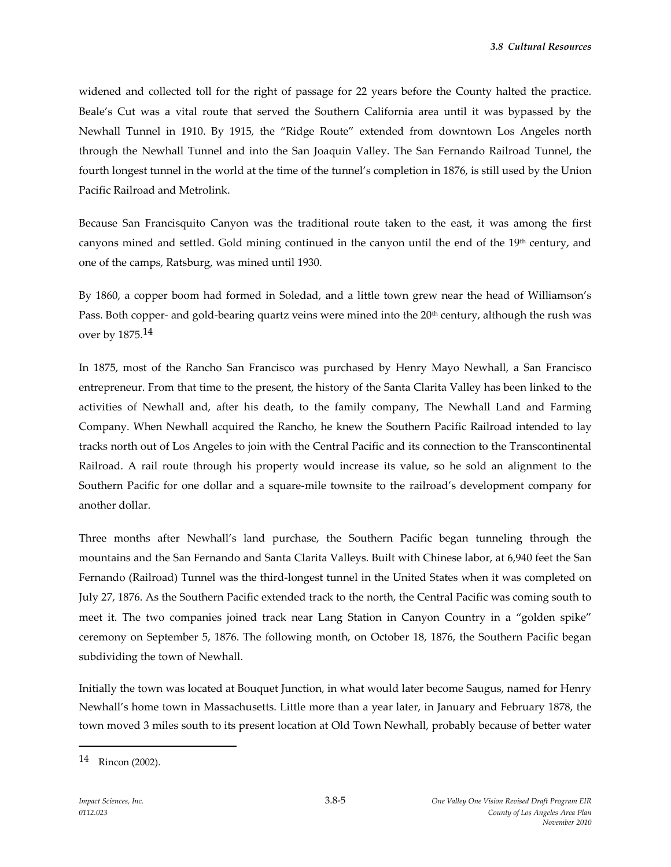widened and collected toll for the right of passage for 22 years before the County halted the practice. Beale's Cut was a vital route that served the Southern California area until it was bypassed by the Newhall Tunnel in 1910. By 1915, the "Ridge Route" extended from downtown Los Angeles north through the Newhall Tunnel and into the San Joaquin Valley. The San Fernando Railroad Tunnel, the fourth longest tunnel in the world at the time of the tunnel's completion in 1876, is still used by the Union Pacific Railroad and Metrolink.

Because San Francisquito Canyon was the traditional route taken to the east, it was among the first canyons mined and settled. Gold mining continued in the canyon until the end of the 19th century, and one of the camps, Ratsburg, was mined until 1930.

By 1860, a copper boom had formed in Soledad, and a little town grew near the head of Williamson's Pass. Both copper- and gold-bearing quartz veins were mined into the 20<sup>th</sup> century, although the rush was over by 1875.14

In 1875, most of the Rancho San Francisco was purchased by Henry Mayo Newhall, a San Francisco entrepreneur. From that time to the present, the history of the Santa Clarita Valley has been linked to the activities of Newhall and, after his death, to the family company, The Newhall Land and Farming Company. When Newhall acquired the Rancho, he knew the Southern Pacific Railroad intended to lay tracks north out of Los Angeles to join with the Central Pacific and its connection to the Transcontinental Railroad. A rail route through his property would increase its value, so he sold an alignment to the Southern Pacific for one dollar and a square-mile townsite to the railroad's development company for another dollar.

Three months after Newhall's land purchase, the Southern Pacific began tunneling through the mountains and the San Fernando and Santa Clarita Valleys. Built with Chinese labor, at 6,940 feet the San Fernando (Railroad) Tunnel was the third-longest tunnel in the United States when it was completed on July 27, 1876. As the Southern Pacific extended track to the north, the Central Pacific was coming south to meet it. The two companies joined track near Lang Station in Canyon Country in a "golden spike" ceremony on September 5, 1876. The following month, on October 18, 1876, the Southern Pacific began subdividing the town of Newhall.

Initially the town was located at Bouquet Junction, in what would later become Saugus, named for Henry Newhall's home town in Massachusetts. Little more than a year later, in January and February 1878, the town moved 3 miles south to its present location at Old Town Newhall, probably because of better water

<sup>14</sup> Rincon (2002).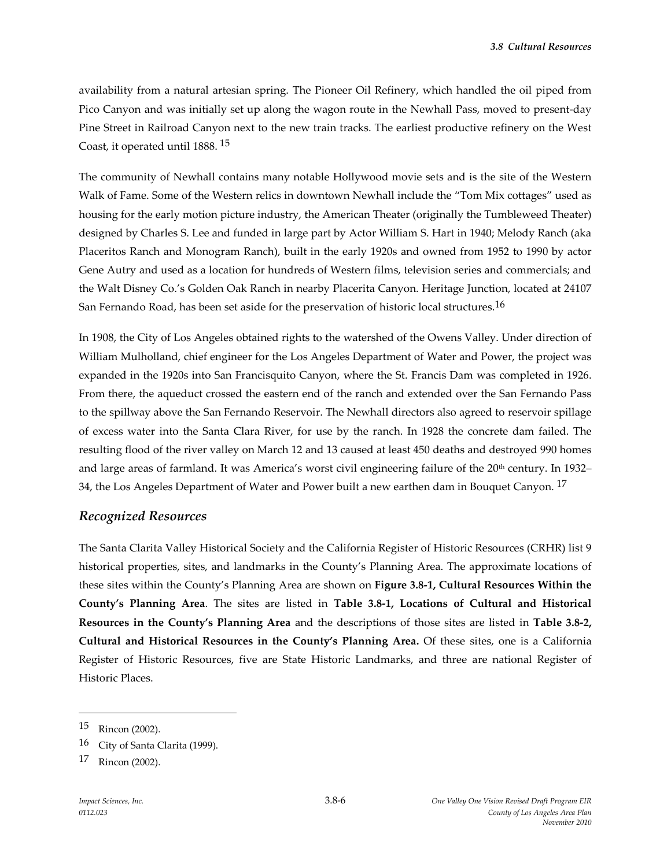availability from a natural artesian spring. The Pioneer Oil Refinery, which handled the oil piped from Pico Canyon and was initially set up along the wagon route in the Newhall Pass, moved to present-day Pine Street in Railroad Canyon next to the new train tracks. The earliest productive refinery on the West Coast, it operated until 1888. 15

The community of Newhall contains many notable Hollywood movie sets and is the site of the Western Walk of Fame. Some of the Western relics in downtown Newhall include the "Tom Mix cottages" used as housing for the early motion picture industry, the American Theater (originally the Tumbleweed Theater) designed by Charles S. Lee and funded in large part by Actor William S. Hart in 1940; Melody Ranch (aka Placeritos Ranch and Monogram Ranch), built in the early 1920s and owned from 1952 to 1990 by actor Gene Autry and used as a location for hundreds of Western films, television series and commercials; and the Walt Disney Co.'s Golden Oak Ranch in nearby Placerita Canyon. Heritage Junction, located at 24107 San Fernando Road, has been set aside for the preservation of historic local structures.<sup>16</sup>

In 1908, the City of Los Angeles obtained rights to the watershed of the Owens Valley. Under direction of William Mulholland, chief engineer for the Los Angeles Department of Water and Power, the project was expanded in the 1920s into San Francisquito Canyon, where the St. Francis Dam was completed in 1926. From there, the aqueduct crossed the eastern end of the ranch and extended over the San Fernando Pass to the spillway above the San Fernando Reservoir. The Newhall directors also agreed to reservoir spillage of excess water into the Santa Clara River, for use by the ranch. In 1928 the concrete dam failed. The resulting flood of the river valley on March 12 and 13 caused at least 450 deaths and destroyed 990 homes and large areas of farmland. It was America's worst civil engineering failure of the 20<sup>th</sup> century. In 1932– 34, the Los Angeles Department of Water and Power built a new earthen dam in Bouquet Canyon.<sup>17</sup>

#### *Recognized Resources*

The Santa Clarita Valley Historical Society and the California Register of Historic Resources (CRHR) list 9 historical properties, sites, and landmarks in the County's Planning Area. The approximate locations of these sites within the County's Planning Area are shown on **Figure 3.8-1, Cultural Resources Within the County's Planning Area**. The sites are listed in **Table 3.8-1, Locations of Cultural and Historical Resources in the County's Planning Area** and the descriptions of those sites are listed in **Table 3.8-2, Cultural and Historical Resources in the County's Planning Area.** Of these sites, one is a California Register of Historic Resources, five are State Historic Landmarks, and three are national Register of Historic Places.

<sup>15</sup> Rincon (2002).

<sup>16</sup> City of Santa Clarita (1999).

<sup>17</sup> Rincon (2002).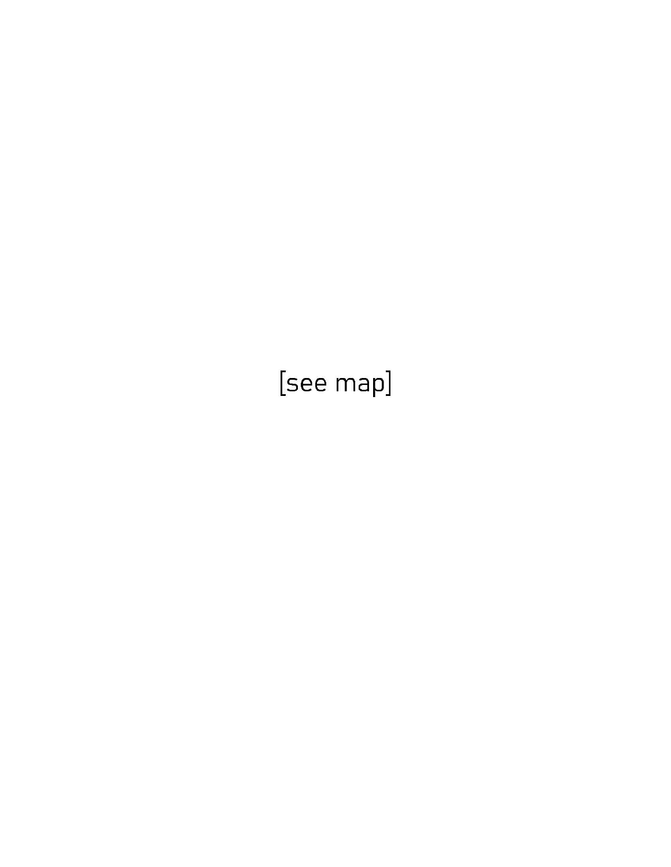[see map]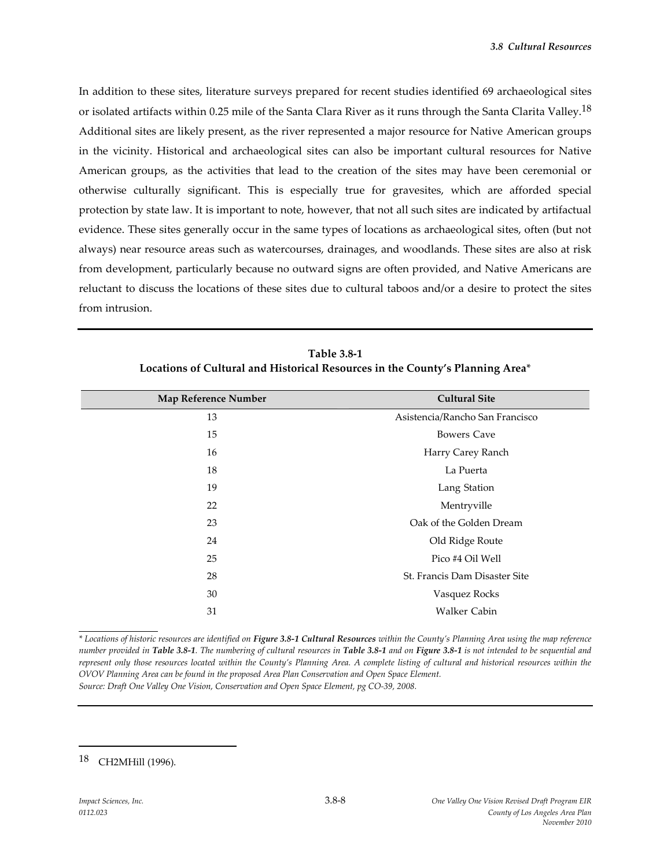In addition to these sites, literature surveys prepared for recent studies identified 69 archaeological sites or isolated artifacts within 0.25 mile of the Santa Clara River as it runs through the Santa Clarita Valley.<sup>18</sup> Additional sites are likely present, as the river represented a major resource for Native American groups in the vicinity. Historical and archaeological sites can also be important cultural resources for Native American groups, as the activities that lead to the creation of the sites may have been ceremonial or otherwise culturally significant. This is especially true for gravesites, which are afforded special protection by state law. It is important to note, however, that not all such sites are indicated by artifactual evidence. These sites generally occur in the same types of locations as archaeological sites, often (but not always) near resource areas such as watercourses, drainages, and woodlands. These sites are also at risk from development, particularly because no outward signs are often provided, and Native Americans are reluctant to discuss the locations of these sites due to cultural taboos and/or a desire to protect the sites from intrusion.

| Map Reference Number | <b>Cultural Site</b>            |
|----------------------|---------------------------------|
| 13                   | Asistencia/Rancho San Francisco |
| 15                   | <b>Bowers Cave</b>              |
| 16                   | Harry Carey Ranch               |
| 18                   | La Puerta                       |
| 19                   | Lang Station                    |
| 22                   | Mentryville                     |
| 23                   | Oak of the Golden Dream         |
| 24                   | Old Ridge Route                 |
| 25                   | Pico #4 Oil Well                |
| 28                   | St. Francis Dam Disaster Site   |
| 30                   | Vasquez Rocks                   |
| 31                   | Walker Cabin                    |
|                      |                                 |

**Table 3.8-1 Locations of Cultural and Historical Resources in the County's Planning Area**\*

*\* Locations of historic resources are identified on Figure 3.8-1 Cultural Resources within the County's Planning Area using the map reference number provided in Table 3.8-1. The numbering of cultural resources in Table 3.8-1 and on Figure 3.8-1 is not intended to be sequential and represent only those resources located within the County's Planning Area. A complete listing of cultural and historical resources within the OVOV Planning Area can be found in the proposed Area Plan Conservation and Open Space Element. Source: Draft One Valley One Vision, Conservation and Open Space Element, pg CO-39, 2008.*

<sup>18</sup> CH2MHill (1996).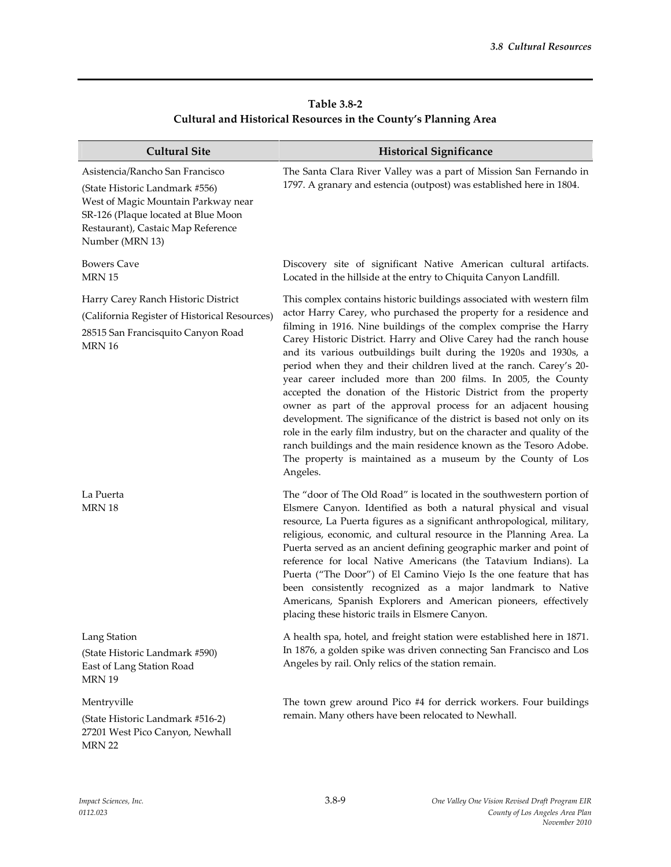| Table 3.8-2                                                     |  |
|-----------------------------------------------------------------|--|
| Cultural and Historical Resources in the County's Planning Area |  |

| <b>Cultural Site</b>                                                                                                                                                                                     | <b>Historical Significance</b>                                                                                                                                                                                                                                                                                                                                                                                                                                                                                                                                                                                                                                                                                                                                                                                                                                                                                                               |
|----------------------------------------------------------------------------------------------------------------------------------------------------------------------------------------------------------|----------------------------------------------------------------------------------------------------------------------------------------------------------------------------------------------------------------------------------------------------------------------------------------------------------------------------------------------------------------------------------------------------------------------------------------------------------------------------------------------------------------------------------------------------------------------------------------------------------------------------------------------------------------------------------------------------------------------------------------------------------------------------------------------------------------------------------------------------------------------------------------------------------------------------------------------|
| Asistencia/Rancho San Francisco<br>(State Historic Landmark #556)<br>West of Magic Mountain Parkway near<br>SR-126 (Plaque located at Blue Moon<br>Restaurant), Castaic Map Reference<br>Number (MRN 13) | The Santa Clara River Valley was a part of Mission San Fernando in<br>1797. A granary and estencia (outpost) was established here in 1804.                                                                                                                                                                                                                                                                                                                                                                                                                                                                                                                                                                                                                                                                                                                                                                                                   |
| <b>Bowers Cave</b><br><b>MRN 15</b>                                                                                                                                                                      | Discovery site of significant Native American cultural artifacts.<br>Located in the hillside at the entry to Chiquita Canyon Landfill.                                                                                                                                                                                                                                                                                                                                                                                                                                                                                                                                                                                                                                                                                                                                                                                                       |
| Harry Carey Ranch Historic District<br>(California Register of Historical Resources)<br>28515 San Francisquito Canyon Road<br><b>MRN 16</b>                                                              | This complex contains historic buildings associated with western film<br>actor Harry Carey, who purchased the property for a residence and<br>filming in 1916. Nine buildings of the complex comprise the Harry<br>Carey Historic District. Harry and Olive Carey had the ranch house<br>and its various outbuildings built during the 1920s and 1930s, a<br>period when they and their children lived at the ranch. Carey's 20-<br>year career included more than 200 films. In 2005, the County<br>accepted the donation of the Historic District from the property<br>owner as part of the approval process for an adjacent housing<br>development. The significance of the district is based not only on its<br>role in the early film industry, but on the character and quality of the<br>ranch buildings and the main residence known as the Tesoro Adobe.<br>The property is maintained as a museum by the County of Los<br>Angeles. |
| La Puerta<br><b>MRN 18</b>                                                                                                                                                                               | The "door of The Old Road" is located in the southwestern portion of<br>Elsmere Canyon. Identified as both a natural physical and visual<br>resource, La Puerta figures as a significant anthropological, military,<br>religious, economic, and cultural resource in the Planning Area. La<br>Puerta served as an ancient defining geographic marker and point of<br>reference for local Native Americans (the Tatavium Indians). La<br>Puerta ("The Door") of El Camino Viejo Is the one feature that has<br>been consistently recognized as a major landmark to Native<br>Americans, Spanish Explorers and American pioneers, effectively<br>placing these historic trails in Elsmere Canyon.                                                                                                                                                                                                                                              |
| Lang Station<br>(State Historic Landmark #590)<br>East of Lang Station Road<br>MRN 19                                                                                                                    | A health spa, hotel, and freight station were established here in 1871.<br>In 1876, a golden spike was driven connecting San Francisco and Los<br>Angeles by rail. Only relics of the station remain.                                                                                                                                                                                                                                                                                                                                                                                                                                                                                                                                                                                                                                                                                                                                        |
| Mentryville<br>(State Historic Landmark #516-2)<br>27201 West Pico Canyon, Newhall<br>MRN 22                                                                                                             | The town grew around Pico #4 for derrick workers. Four buildings<br>remain. Many others have been relocated to Newhall.                                                                                                                                                                                                                                                                                                                                                                                                                                                                                                                                                                                                                                                                                                                                                                                                                      |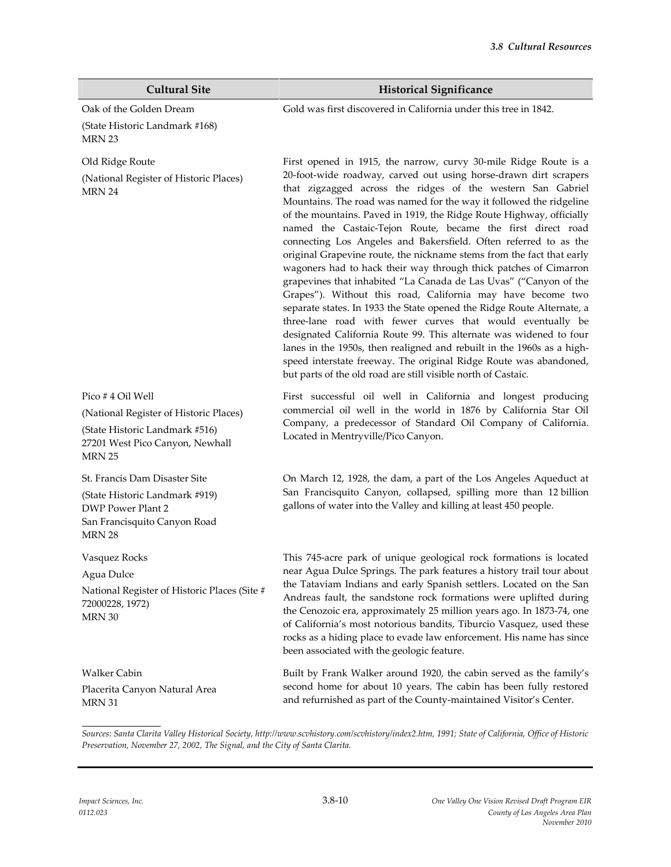| <b>Cultural Site</b>                                                                                                                             | <b>Historical Significance</b>                                                                                                                                                                                                                                                                                                                                                                                                                                                                                                                                                                                                                                                                                                                                                                                                                                                                                                                                                                                                                                                                                                                                                                       |
|--------------------------------------------------------------------------------------------------------------------------------------------------|------------------------------------------------------------------------------------------------------------------------------------------------------------------------------------------------------------------------------------------------------------------------------------------------------------------------------------------------------------------------------------------------------------------------------------------------------------------------------------------------------------------------------------------------------------------------------------------------------------------------------------------------------------------------------------------------------------------------------------------------------------------------------------------------------------------------------------------------------------------------------------------------------------------------------------------------------------------------------------------------------------------------------------------------------------------------------------------------------------------------------------------------------------------------------------------------------|
| Oak of the Golden Dream<br>(State Historic Landmark #168)<br>MRN 23                                                                              | Gold was first discovered in California under this tree in 1842.                                                                                                                                                                                                                                                                                                                                                                                                                                                                                                                                                                                                                                                                                                                                                                                                                                                                                                                                                                                                                                                                                                                                     |
| Old Ridge Route<br>(National Register of Historic Places)<br>MRN 24                                                                              | First opened in 1915, the narrow, curvy 30-mile Ridge Route is a<br>20-foot-wide roadway, carved out using horse-drawn dirt scrapers<br>that zigzagged across the ridges of the western San Gabriel<br>Mountains. The road was named for the way it followed the ridgeline<br>of the mountains. Paved in 1919, the Ridge Route Highway, officially<br>named the Castaic-Tejon Route, became the first direct road<br>connecting Los Angeles and Bakersfield. Often referred to as the<br>original Grapevine route, the nickname stems from the fact that early<br>wagoners had to hack their way through thick patches of Cimarron<br>grapevines that inhabited "La Canada de Las Uvas" ("Canyon of the<br>Grapes"). Without this road, California may have become two<br>separate states. In 1933 the State opened the Ridge Route Alternate, a<br>three-lane road with fewer curves that would eventually be<br>designated California Route 99. This alternate was widened to four<br>lanes in the 1950s, then realigned and rebuilt in the 1960s as a high-<br>speed interstate freeway. The original Ridge Route was abandoned,<br>but parts of the old road are still visible north of Castaic. |
| Pico #4 Oil Well<br>(National Register of Historic Places)<br>(State Historic Landmark #516)<br>27201 West Pico Canyon, Newhall<br><b>MRN 25</b> | First successful oil well in California and longest producing<br>commercial oil well in the world in 1876 by California Star Oil<br>Company, a predecessor of Standard Oil Company of California.<br>Located in Mentryville/Pico Canyon.                                                                                                                                                                                                                                                                                                                                                                                                                                                                                                                                                                                                                                                                                                                                                                                                                                                                                                                                                             |
| St. Francis Dam Disaster Site<br>(State Historic Landmark #919)<br><b>DWP Power Plant 2</b><br>San Francisquito Canyon Road<br><b>MRN 28</b>     | On March 12, 1928, the dam, a part of the Los Angeles Aqueduct at<br>San Francisquito Canyon, collapsed, spilling more than 12 billion<br>gallons of water into the Valley and killing at least 450 people.                                                                                                                                                                                                                                                                                                                                                                                                                                                                                                                                                                                                                                                                                                                                                                                                                                                                                                                                                                                          |
| Vasquez Rocks<br>Agua Dulce<br>National Register of Historic Places (Site #<br>72000228, 1972)<br>MRN 30                                         | This 745-acre park of unique geological rock formations is located<br>near Agua Dulce Springs. The park features a history trail tour about<br>the Tataviam Indians and early Spanish settlers. Located on the San<br>Andreas fault, the sandstone rock formations were uplifted during<br>the Cenozoic era, approximately 25 million years ago. In 1873-74, one<br>of California's most notorious bandits, Tiburcio Vasquez, used these<br>rocks as a hiding place to evade law enforcement. His name has since<br>been associated with the geologic feature.                                                                                                                                                                                                                                                                                                                                                                                                                                                                                                                                                                                                                                       |
| Walker Cabin<br>Placerita Canyon Natural Area<br><b>MRN 31</b>                                                                                   | Built by Frank Walker around 1920, the cabin served as the family's<br>second home for about 10 years. The cabin has been fully restored<br>and refurnished as part of the County-maintained Visitor's Center.                                                                                                                                                                                                                                                                                                                                                                                                                                                                                                                                                                                                                                                                                                                                                                                                                                                                                                                                                                                       |

*Sources: Santa Clarita Valley Historical Society, http://www.scvhistory.com/scvhistory/index2.htm, 1991; State of California, Office of Historic Preservation, November 27, 2002, The Signal, and the City of Santa Clarita.*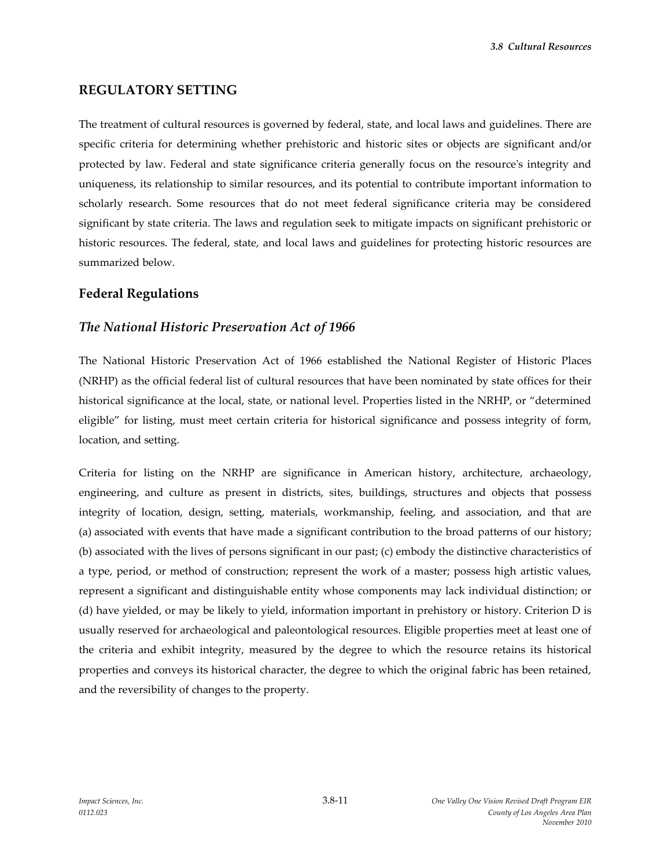*3.8 Cultural Resources*

#### **REGULATORY SETTING**

The treatment of cultural resources is governed by federal, state, and local laws and guidelines. There are specific criteria for determining whether prehistoric and historic sites or objects are significant and/or protected by law. Federal and state significance criteria generally focus on the resource's integrity and uniqueness, its relationship to similar resources, and its potential to contribute important information to scholarly research. Some resources that do not meet federal significance criteria may be considered significant by state criteria. The laws and regulation seek to mitigate impacts on significant prehistoric or historic resources. The federal, state, and local laws and guidelines for protecting historic resources are summarized below.

#### **Federal Regulations**

#### *The National Historic Preservation Act of 1966*

The National Historic Preservation Act of 1966 established the National Register of Historic Places (NRHP) as the official federal list of cultural resources that have been nominated by state offices for their historical significance at the local, state, or national level. Properties listed in the NRHP, or "determined eligible" for listing, must meet certain criteria for historical significance and possess integrity of form, location, and setting.

Criteria for listing on the NRHP are significance in American history, architecture, archaeology, engineering, and culture as present in districts, sites, buildings, structures and objects that possess integrity of location, design, setting, materials, workmanship, feeling, and association, and that are (a) associated with events that have made a significant contribution to the broad patterns of our history; (b) associated with the lives of persons significant in our past; (c) embody the distinctive characteristics of a type, period, or method of construction; represent the work of a master; possess high artistic values, represent a significant and distinguishable entity whose components may lack individual distinction; or (d) have yielded, or may be likely to yield, information important in prehistory or history. Criterion D is usually reserved for archaeological and paleontological resources. Eligible properties meet at least one of the criteria and exhibit integrity, measured by the degree to which the resource retains its historical properties and conveys its historical character, the degree to which the original fabric has been retained, and the reversibility of changes to the property.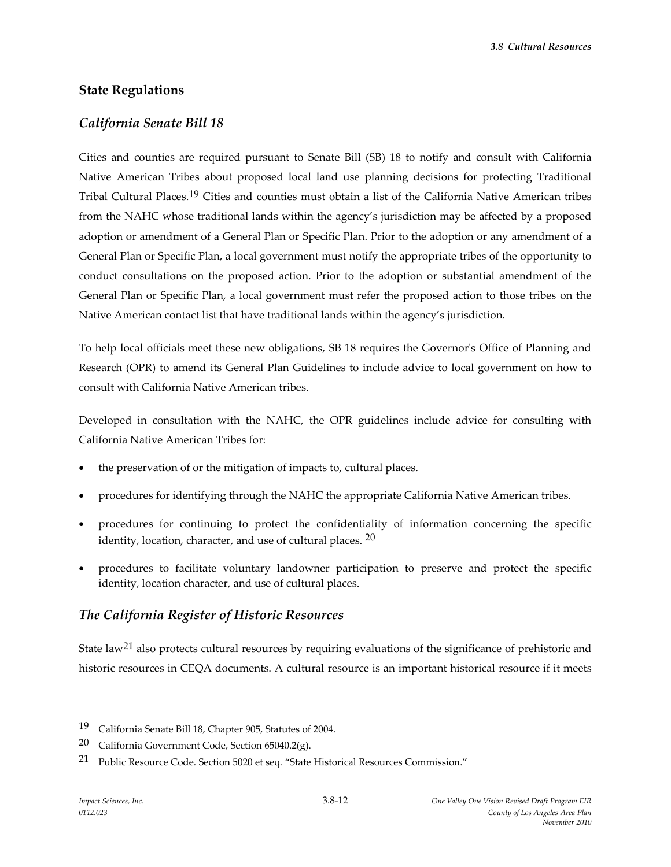*3.8 Cultural Resources*

### **State Regulations**

### *California Senate Bill 18*

Cities and counties are required pursuant to Senate Bill (SB) 18 to notify and consult with California Native American Tribes about proposed local land use planning decisions for protecting Traditional Tribal Cultural Places.19 Cities and counties must obtain a list of the California Native American tribes from the NAHC whose traditional lands within the agency's jurisdiction may be affected by a proposed adoption or amendment of a General Plan or Specific Plan. Prior to the adoption or any amendment of a General Plan or Specific Plan, a local government must notify the appropriate tribes of the opportunity to conduct consultations on the proposed action. Prior to the adoption or substantial amendment of the General Plan or Specific Plan, a local government must refer the proposed action to those tribes on the Native American contact list that have traditional lands within the agency's jurisdiction.

To help local officials meet these new obligations, SB 18 requires the Governor's Office of Planning and Research (OPR) to amend its General Plan Guidelines to include advice to local government on how to consult with California Native American tribes.

Developed in consultation with the NAHC, the OPR guidelines include advice for consulting with California Native American Tribes for:

- the preservation of or the mitigation of impacts to, cultural places.
- procedures for identifying through the NAHC the appropriate California Native American tribes.
- procedures for continuing to protect the confidentiality of information concerning the specific identity, location, character, and use of cultural places.  $20$
- procedures to facilitate voluntary landowner participation to preserve and protect the specific identity, location character, and use of cultural places.

### *The California Register of Historic Resources*

State law<sup>21</sup> also protects cultural resources by requiring evaluations of the significance of prehistoric and historic resources in CEQA documents. A cultural resource is an important historical resource if it meets

<sup>19</sup> California Senate Bill 18, Chapter 905, Statutes of 2004.

<sup>20</sup> California Government Code, Section 65040.2(g).

<sup>21</sup> Public Resource Code. Section 5020 et seq. "State Historical Resources Commission."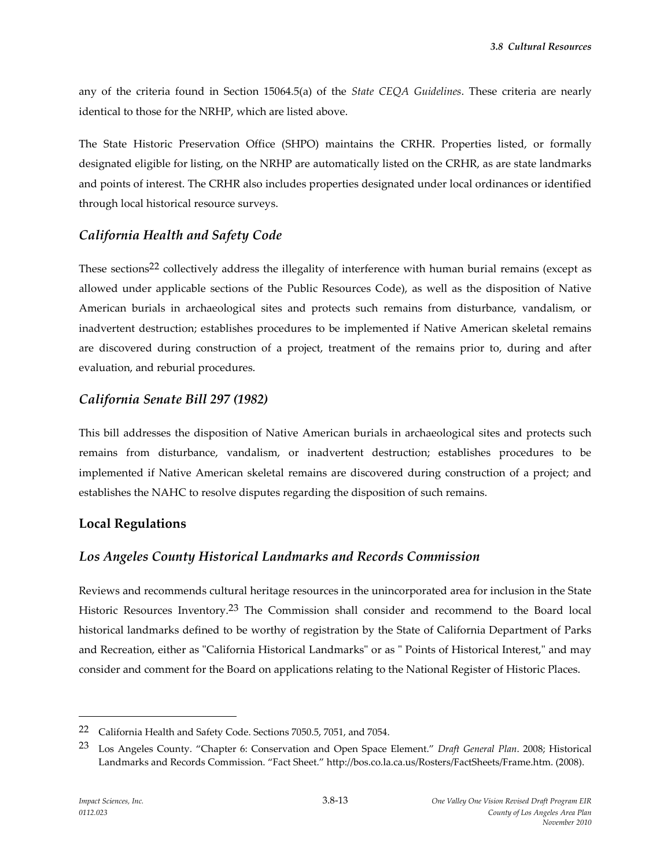any of the criteria found in Section 15064.5(a) of the *State CEQA Guidelines*. These criteria are nearly identical to those for the NRHP, which are listed above.

The State Historic Preservation Office (SHPO) maintains the CRHR. Properties listed, or formally designated eligible for listing, on the NRHP are automatically listed on the CRHR, as are state landmarks and points of interest. The CRHR also includes properties designated under local ordinances or identified through local historical resource surveys.

# *California Health and Safety Code*

These sections<sup>22</sup> collectively address the illegality of interference with human burial remains (except as allowed under applicable sections of the Public Resources Code), as well as the disposition of Native American burials in archaeological sites and protects such remains from disturbance, vandalism, or inadvertent destruction; establishes procedures to be implemented if Native American skeletal remains are discovered during construction of a project, treatment of the remains prior to, during and after evaluation, and reburial procedures.

### *California Senate Bill 297 (1982)*

This bill addresses the disposition of Native American burials in archaeological sites and protects such remains from disturbance, vandalism, or inadvertent destruction; establishes procedures to be implemented if Native American skeletal remains are discovered during construction of a project; and establishes the NAHC to resolve disputes regarding the disposition of such remains.

# **Local Regulations**

# *Los Angeles County Historical Landmarks and Records Commission*

Reviews and recommends cultural heritage resources in the unincorporated area for inclusion in the State Historic Resources Inventory.23 The Commission shall consider and recommend to the Board local historical landmarks defined to be worthy of registration by the State of California Department of Parks and Recreation, either as "California Historical Landmarks" or as " Points of Historical Interest," and may consider and comment for the Board on applications relating to the National Register of Historic Places.

<sup>22</sup> California Health and Safety Code. Sections 7050.5, 7051, and 7054.

<sup>23</sup> Los Angeles County. "Chapter 6: Conservation and Open Space Element." *Draft General Plan*. 2008; Historical Landmarks and Records Commission. "Fact Sheet." http://bos.co.la.ca.us/Rosters/FactSheets/Frame.htm. (2008).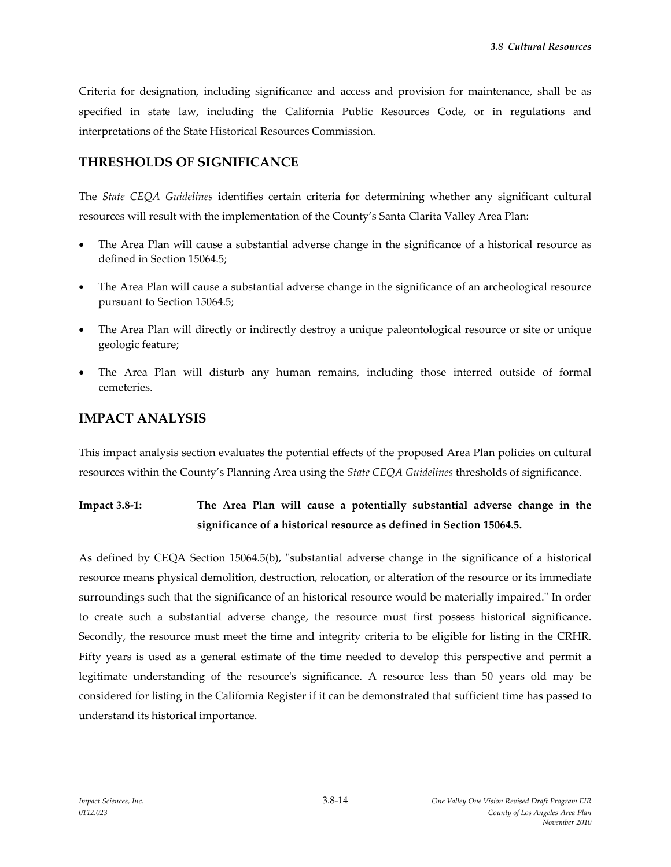Criteria for designation, including significance and access and provision for maintenance, shall be as specified in state law, including the California Public Resources Code, or in regulations and interpretations of the State Historical Resources Commission.

# **THRESHOLDS OF SIGNIFICANCE**

The *State CEQA Guidelines* identifies certain criteria for determining whether any significant cultural resources will result with the implementation of the County's Santa Clarita Valley Area Plan:

- The Area Plan will cause a substantial adverse change in the significance of a historical resource as defined in Section 15064.5;
- The Area Plan will cause a substantial adverse change in the significance of an archeological resource pursuant to Section 15064.5;
- The Area Plan will directly or indirectly destroy a unique paleontological resource or site or unique geologic feature;
- The Area Plan will disturb any human remains, including those interred outside of formal cemeteries.

# **IMPACT ANALYSIS**

This impact analysis section evaluates the potential effects of the proposed Area Plan policies on cultural resources within the County's Planning Area using the *State CEQA Guidelines* thresholds of significance.

**Impact 3.8-1: The Area Plan will cause a potentially substantial adverse change in the significance of a historical resource as defined in Section 15064.5.**

As defined by CEQA Section 15064.5(b), "substantial adverse change in the significance of a historical resource means physical demolition, destruction, relocation, or alteration of the resource or its immediate surroundings such that the significance of an historical resource would be materially impaired." In order to create such a substantial adverse change, the resource must first possess historical significance. Secondly, the resource must meet the time and integrity criteria to be eligible for listing in the CRHR. Fifty years is used as a general estimate of the time needed to develop this perspective and permit a legitimate understanding of the resource's significance. A resource less than 50 years old may be considered for listing in the California Register if it can be demonstrated that sufficient time has passed to understand its historical importance.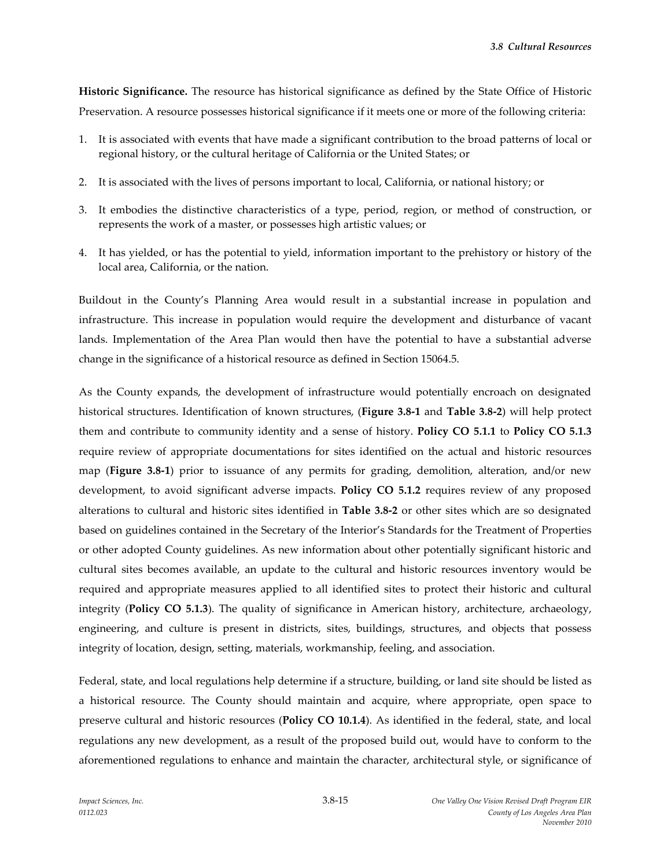**Historic Significance.** The resource has historical significance as defined by the State Office of Historic Preservation. A resource possesses historical significance if it meets one or more of the following criteria:

- 1. It is associated with events that have made a significant contribution to the broad patterns of local or regional history, or the cultural heritage of California or the United States; or
- 2. It is associated with the lives of persons important to local, California, or national history; or
- 3. It embodies the distinctive characteristics of a type, period, region, or method of construction, or represents the work of a master, or possesses high artistic values; or
- 4. It has yielded, or has the potential to yield, information important to the prehistory or history of the local area, California, or the nation.

Buildout in the County's Planning Area would result in a substantial increase in population and infrastructure. This increase in population would require the development and disturbance of vacant lands. Implementation of the Area Plan would then have the potential to have a substantial adverse change in the significance of a historical resource as defined in Section 15064.5.

As the County expands, the development of infrastructure would potentially encroach on designated historical structures. Identification of known structures, (**Figure 3.8-1** and **Table 3.8-2**) will help protect them and contribute to community identity and a sense of history. **Policy CO 5.1.1** to **Policy CO 5.1.3** require review of appropriate documentations for sites identified on the actual and historic resources map (**Figure 3.8-1**) prior to issuance of any permits for grading, demolition, alteration, and/or new development, to avoid significant adverse impacts. **Policy CO 5.1.2** requires review of any proposed alterations to cultural and historic sites identified in **Table 3.8-2** or other sites which are so designated based on guidelines contained in the Secretary of the Interior's Standards for the Treatment of Properties or other adopted County guidelines. As new information about other potentially significant historic and cultural sites becomes available, an update to the cultural and historic resources inventory would be required and appropriate measures applied to all identified sites to protect their historic and cultural integrity (**Policy CO 5.1.3**). The quality of significance in American history, architecture, archaeology, engineering, and culture is present in districts, sites, buildings, structures, and objects that possess integrity of location, design, setting, materials, workmanship, feeling, and association.

Federal, state, and local regulations help determine if a structure, building, or land site should be listed as a historical resource. The County should maintain and acquire, where appropriate, open space to preserve cultural and historic resources (**Policy CO 10.1.4**). As identified in the federal, state, and local regulations any new development, as a result of the proposed build out, would have to conform to the aforementioned regulations to enhance and maintain the character, architectural style, or significance of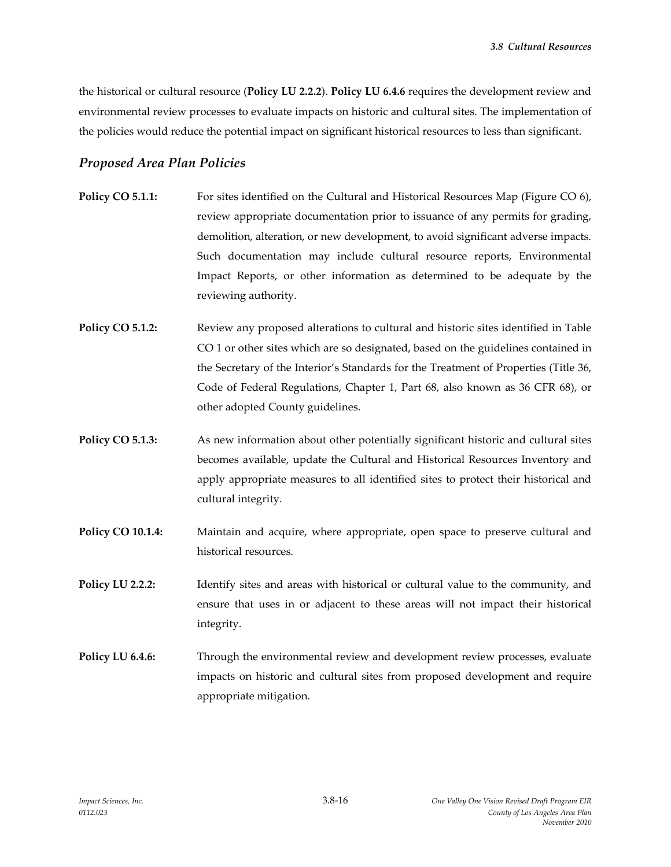the historical or cultural resource (**Policy LU 2.2.2**). **Policy LU 6.4.6** requires the development review and environmental review processes to evaluate impacts on historic and cultural sites. The implementation of the policies would reduce the potential impact on significant historical resources to less than significant.

### *Proposed Area Plan Policies*

- **Policy CO 5.1.1:** For sites identified on the Cultural and Historical Resources Map (Figure CO 6), review appropriate documentation prior to issuance of any permits for grading, demolition, alteration, or new development, to avoid significant adverse impacts. Such documentation may include cultural resource reports, Environmental Impact Reports, or other information as determined to be adequate by the reviewing authority.
- **Policy CO 5.1.2:** Review any proposed alterations to cultural and historic sites identified in Table CO 1 or other sites which are so designated, based on the guidelines contained in the Secretary of the Interior's Standards for the Treatment of Properties (Title 36, Code of Federal Regulations, Chapter 1, Part 68, also known as 36 CFR 68), or other adopted County guidelines.
- **Policy CO 5.1.3:** As new information about other potentially significant historic and cultural sites becomes available, update the Cultural and Historical Resources Inventory and apply appropriate measures to all identified sites to protect their historical and cultural integrity.
- **Policy CO 10.1.4:** Maintain and acquire, where appropriate, open space to preserve cultural and historical resources.
- **Policy LU 2.2.2:** Identify sites and areas with historical or cultural value to the community, and ensure that uses in or adjacent to these areas will not impact their historical integrity.
- **Policy LU 6.4.6:** Through the environmental review and development review processes, evaluate impacts on historic and cultural sites from proposed development and require appropriate mitigation.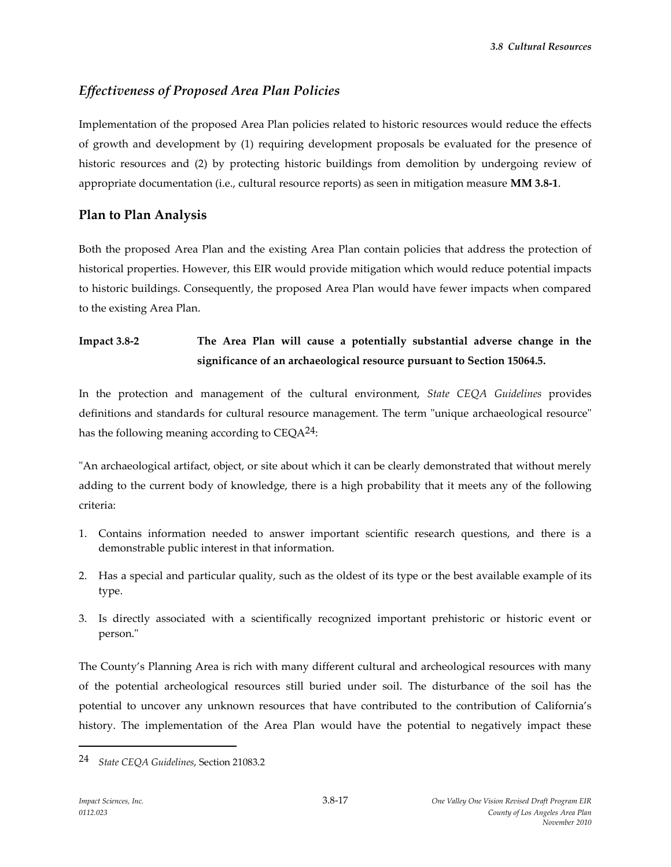*3.8 Cultural Resources*

# *Effectiveness of Proposed Area Plan Policies*

Implementation of the proposed Area Plan policies related to historic resources would reduce the effects of growth and development by (1) requiring development proposals be evaluated for the presence of historic resources and (2) by protecting historic buildings from demolition by undergoing review of appropriate documentation (i.e., cultural resource reports) as seen in mitigation measure **MM 3.8-1**.

### **Plan to Plan Analysis**

Both the proposed Area Plan and the existing Area Plan contain policies that address the protection of historical properties. However, this EIR would provide mitigation which would reduce potential impacts to historic buildings. Consequently, the proposed Area Plan would have fewer impacts when compared to the existing Area Plan.

# **Impact 3.8-2 The Area Plan will cause a potentially substantial adverse change in the significance of an archaeological resource pursuant to Section 15064.5.**

In the protection and management of the cultural environment, *State CEQA Guidelines* provides definitions and standards for cultural resource management. The term "unique archaeological resource" has the following meaning according to  $CEQA^{24}$ :

"An archaeological artifact, object, or site about which it can be clearly demonstrated that without merely adding to the current body of knowledge, there is a high probability that it meets any of the following criteria:

- 1. Contains information needed to answer important scientific research questions, and there is a demonstrable public interest in that information.
- 2. Has a special and particular quality, such as the oldest of its type or the best available example of its type.
- 3. Is directly associated with a scientifically recognized important prehistoric or historic event or person."

The County's Planning Area is rich with many different cultural and archeological resources with many of the potential archeological resources still buried under soil. The disturbance of the soil has the potential to uncover any unknown resources that have contributed to the contribution of California's history. The implementation of the Area Plan would have the potential to negatively impact these

<sup>24</sup> *State CEQA Guidelines*, Section 21083.2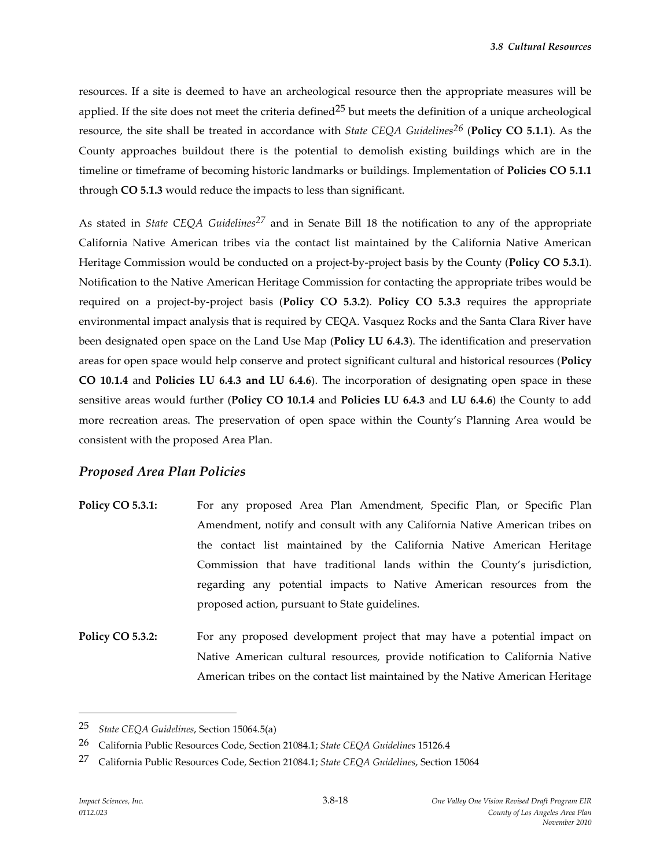resources. If a site is deemed to have an archeological resource then the appropriate measures will be applied. If the site does not meet the criteria defined<sup>25</sup> but meets the definition of a unique archeological resource, the site shall be treated in accordance with *State CEQA Guidelines26* (**Policy CO 5.1.1**). As the County approaches buildout there is the potential to demolish existing buildings which are in the timeline or timeframe of becoming historic landmarks or buildings. Implementation of **Policies CO 5.1.1** through **CO 5.1.3** would reduce the impacts to less than significant.

As stated in *State CEQA Guidelines27* and in Senate Bill 18 the notification to any of the appropriate California Native American tribes via the contact list maintained by the California Native American Heritage Commission would be conducted on a project-by-project basis by the County (**Policy CO 5.3.1**). Notification to the Native American Heritage Commission for contacting the appropriate tribes would be required on a project-by-project basis (**Policy CO 5.3.2**). **Policy CO 5.3.3** requires the appropriate environmental impact analysis that is required by CEQA. Vasquez Rocks and the Santa Clara River have been designated open space on the Land Use Map (**Policy LU 6.4.3**). The identification and preservation areas for open space would help conserve and protect significant cultural and historical resources (**Policy CO 10.1.4** and **Policies LU 6.4.3 and LU 6.4.6**). The incorporation of designating open space in these sensitive areas would further (**Policy CO 10.1.4** and **Policies LU 6.4.3** and **LU 6.4.6**) the County to add more recreation areas. The preservation of open space within the County's Planning Area would be consistent with the proposed Area Plan.

### *Proposed Area Plan Policies*

- **Policy CO 5.3.1:** For any proposed Area Plan Amendment, Specific Plan, or Specific Plan Amendment, notify and consult with any California Native American tribes on the contact list maintained by the California Native American Heritage Commission that have traditional lands within the County's jurisdiction, regarding any potential impacts to Native American resources from the proposed action, pursuant to State guidelines.
- Policy CO 5.3.2: For any proposed development project that may have a potential impact on Native American cultural resources, provide notification to California Native American tribes on the contact list maintained by the Native American Heritage

<sup>25</sup> *State CEQA Guidelines*, Section 15064.5(a)

<sup>26</sup> California Public Resources Code, Section 21084.1; *State CEQA Guidelines* 15126.4

<sup>27</sup> California Public Resources Code, Section 21084.1; *State CEQA Guidelines*, Section 15064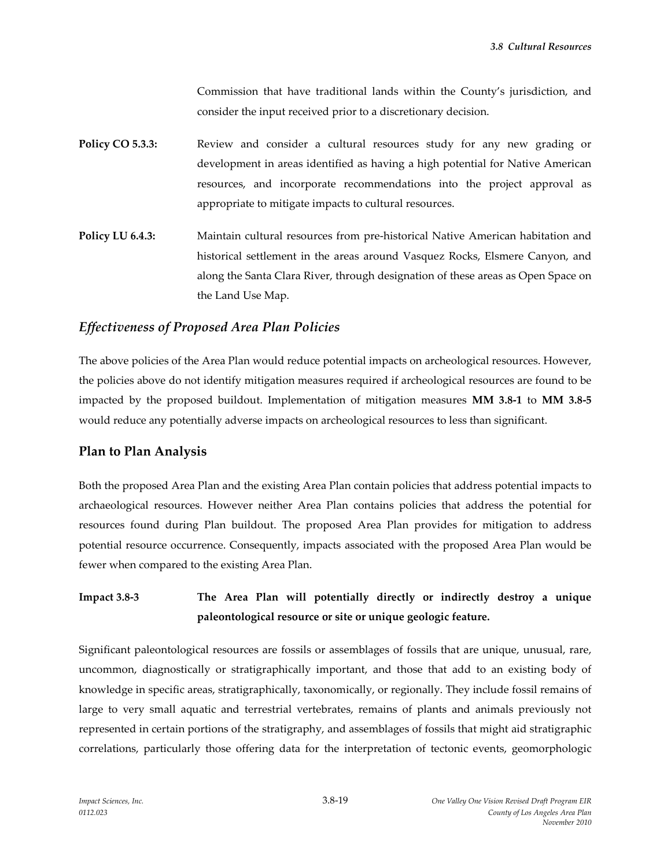Commission that have traditional lands within the County's jurisdiction, and consider the input received prior to a discretionary decision.

- **Policy CO 5.3.3:** Review and consider a cultural resources study for any new grading or development in areas identified as having a high potential for Native American resources, and incorporate recommendations into the project approval as appropriate to mitigate impacts to cultural resources.
- **Policy LU 6.4.3:** Maintain cultural resources from pre-historical Native American habitation and historical settlement in the areas around Vasquez Rocks, Elsmere Canyon, and along the Santa Clara River, through designation of these areas as Open Space on the Land Use Map.

### *Effectiveness of Proposed Area Plan Policies*

The above policies of the Area Plan would reduce potential impacts on archeological resources. However, the policies above do not identify mitigation measures required if archeological resources are found to be impacted by the proposed buildout. Implementation of mitigation measures **MM 3.8-1** to **MM 3.8-5** would reduce any potentially adverse impacts on archeological resources to less than significant.

### **Plan to Plan Analysis**

Both the proposed Area Plan and the existing Area Plan contain policies that address potential impacts to archaeological resources. However neither Area Plan contains policies that address the potential for resources found during Plan buildout. The proposed Area Plan provides for mitigation to address potential resource occurrence. Consequently, impacts associated with the proposed Area Plan would be fewer when compared to the existing Area Plan.

# **Impact 3.8-3 The Area Plan will potentially directly or indirectly destroy a unique paleontological resource or site or unique geologic feature.**

Significant paleontological resources are fossils or assemblages of fossils that are unique, unusual, rare, uncommon, diagnostically or stratigraphically important, and those that add to an existing body of knowledge in specific areas, stratigraphically, taxonomically, or regionally. They include fossil remains of large to very small aquatic and terrestrial vertebrates, remains of plants and animals previously not represented in certain portions of the stratigraphy, and assemblages of fossils that might aid stratigraphic correlations, particularly those offering data for the interpretation of tectonic events, geomorphologic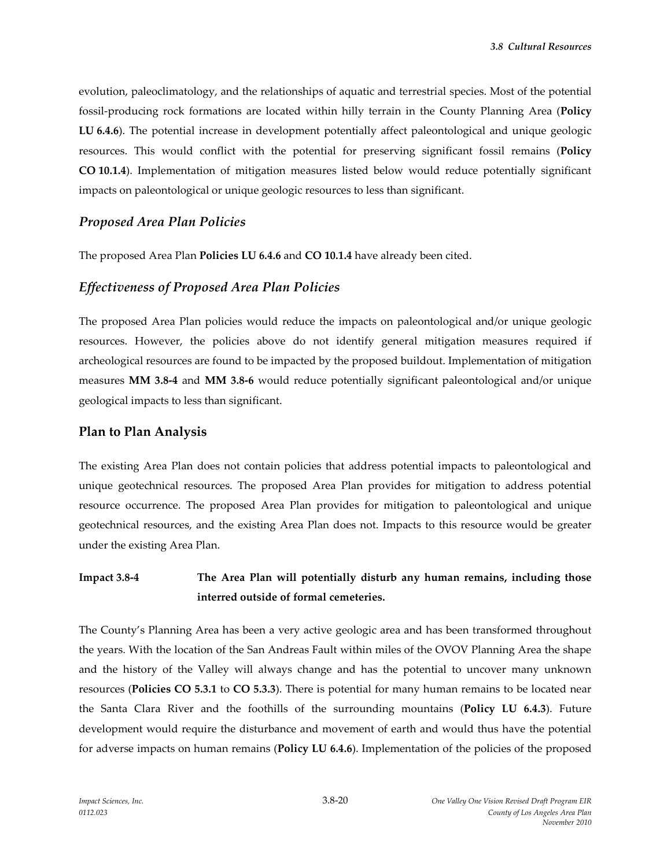evolution, paleoclimatology, and the relationships of aquatic and terrestrial species. Most of the potential fossil-producing rock formations are located within hilly terrain in the County Planning Area (**Policy LU 6.4.6**). The potential increase in development potentially affect paleontological and unique geologic resources. This would conflict with the potential for preserving significant fossil remains (**Policy CO 10.1.4**). Implementation of mitigation measures listed below would reduce potentially significant impacts on paleontological or unique geologic resources to less than significant.

#### *Proposed Area Plan Policies*

The proposed Area Plan **Policies LU 6.4.6** and **CO 10.1.4** have already been cited.

#### *Effectiveness of Proposed Area Plan Policies*

The proposed Area Plan policies would reduce the impacts on paleontological and/or unique geologic resources. However, the policies above do not identify general mitigation measures required if archeological resources are found to be impacted by the proposed buildout. Implementation of mitigation measures **MM 3.8-4** and **MM 3.8-6** would reduce potentially significant paleontological and/or unique geological impacts to less than significant.

### **Plan to Plan Analysis**

The existing Area Plan does not contain policies that address potential impacts to paleontological and unique geotechnical resources. The proposed Area Plan provides for mitigation to address potential resource occurrence. The proposed Area Plan provides for mitigation to paleontological and unique geotechnical resources, and the existing Area Plan does not. Impacts to this resource would be greater under the existing Area Plan.

# **Impact 3.8-4 The Area Plan will potentially disturb any human remains, including those interred outside of formal cemeteries.**

The County's Planning Area has been a very active geologic area and has been transformed throughout the years. With the location of the San Andreas Fault within miles of the OVOV Planning Area the shape and the history of the Valley will always change and has the potential to uncover many unknown resources (**Policies CO 5.3.1** to **CO 5.3.3**). There is potential for many human remains to be located near the Santa Clara River and the foothills of the surrounding mountains (**Policy LU 6.4.3**). Future development would require the disturbance and movement of earth and would thus have the potential for adverse impacts on human remains (**Policy LU 6.4.6**). Implementation of the policies of the proposed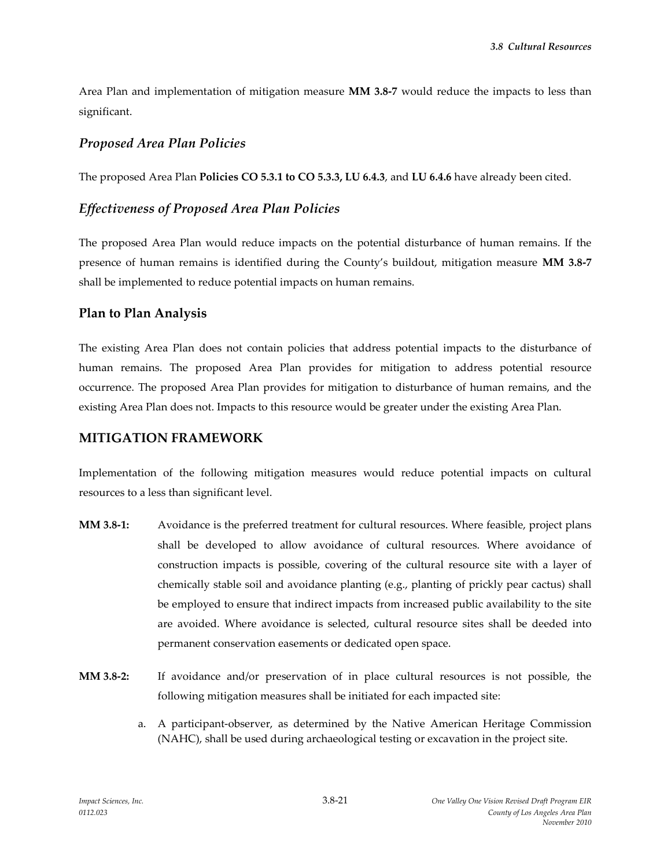Area Plan and implementation of mitigation measure **MM 3.8-7** would reduce the impacts to less than significant.

#### *Proposed Area Plan Policies*

The proposed Area Plan **Policies CO 5.3.1 to CO 5.3.3, LU 6.4.3**, and **LU 6.4.6** have already been cited.

#### *Effectiveness of Proposed Area Plan Policies*

The proposed Area Plan would reduce impacts on the potential disturbance of human remains. If the presence of human remains is identified during the County's buildout, mitigation measure **MM 3.8-7** shall be implemented to reduce potential impacts on human remains.

### **Plan to Plan Analysis**

The existing Area Plan does not contain policies that address potential impacts to the disturbance of human remains. The proposed Area Plan provides for mitigation to address potential resource occurrence. The proposed Area Plan provides for mitigation to disturbance of human remains, and the existing Area Plan does not. Impacts to this resource would be greater under the existing Area Plan.

#### **MITIGATION FRAMEWORK**

Implementation of the following mitigation measures would reduce potential impacts on cultural resources to a less than significant level.

- **MM 3.8-1:** Avoidance is the preferred treatment for cultural resources. Where feasible, project plans shall be developed to allow avoidance of cultural resources. Where avoidance of construction impacts is possible, covering of the cultural resource site with a layer of chemically stable soil and avoidance planting (e.g., planting of prickly pear cactus) shall be employed to ensure that indirect impacts from increased public availability to the site are avoided. Where avoidance is selected, cultural resource sites shall be deeded into permanent conservation easements or dedicated open space.
- **MM 3.8-2:** If avoidance and/or preservation of in place cultural resources is not possible, the following mitigation measures shall be initiated for each impacted site:
	- a. A participant-observer, as determined by the Native American Heritage Commission (NAHC), shall be used during archaeological testing or excavation in the project site.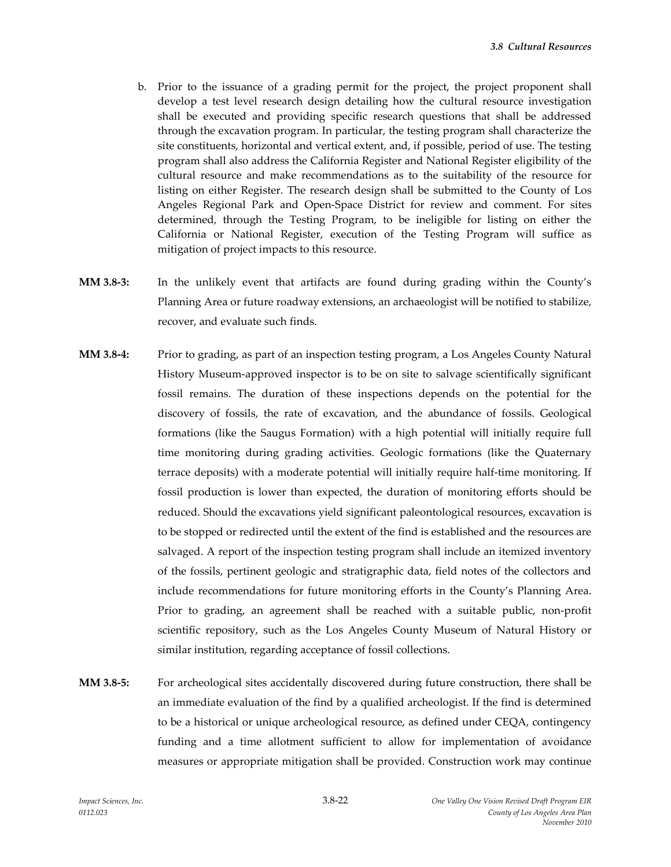- b. Prior to the issuance of a grading permit for the project, the project proponent shall develop a test level research design detailing how the cultural resource investigation shall be executed and providing specific research questions that shall be addressed through the excavation program. In particular, the testing program shall characterize the site constituents, horizontal and vertical extent, and, if possible, period of use. The testing program shall also address the California Register and National Register eligibility of the cultural resource and make recommendations as to the suitability of the resource for listing on either Register. The research design shall be submitted to the County of Los Angeles Regional Park and Open-Space District for review and comment. For sites determined, through the Testing Program, to be ineligible for listing on either the California or National Register, execution of the Testing Program will suffice as mitigation of project impacts to this resource.
- **MM 3.8-3:** In the unlikely event that artifacts are found during grading within the County's Planning Area or future roadway extensions, an archaeologist will be notified to stabilize, recover, and evaluate such finds.
- **MM 3.8-4:** Prior to grading, as part of an inspection testing program, a Los Angeles County Natural History Museum-approved inspector is to be on site to salvage scientifically significant fossil remains. The duration of these inspections depends on the potential for the discovery of fossils, the rate of excavation, and the abundance of fossils. Geological formations (like the Saugus Formation) with a high potential will initially require full time monitoring during grading activities. Geologic formations (like the Quaternary terrace deposits) with a moderate potential will initially require half-time monitoring. If fossil production is lower than expected, the duration of monitoring efforts should be reduced. Should the excavations yield significant paleontological resources, excavation is to be stopped or redirected until the extent of the find is established and the resources are salvaged. A report of the inspection testing program shall include an itemized inventory of the fossils, pertinent geologic and stratigraphic data, field notes of the collectors and include recommendations for future monitoring efforts in the County's Planning Area. Prior to grading, an agreement shall be reached with a suitable public, non-profit scientific repository, such as the Los Angeles County Museum of Natural History or similar institution, regarding acceptance of fossil collections.
- **MM 3.8-5:** For archeological sites accidentally discovered during future construction, there shall be an immediate evaluation of the find by a qualified archeologist. If the find is determined to be a historical or unique archeological resource, as defined under CEQA, contingency funding and a time allotment sufficient to allow for implementation of avoidance measures or appropriate mitigation shall be provided. Construction work may continue